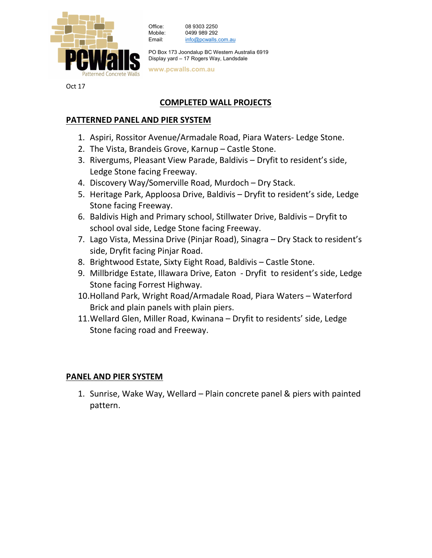

Office: 08 9303 2250 Mobile: 0499 989 292 Email: info@pcwalls.com.au

PO Box 173 Joondalup BC Western Australia 6919 Display yard – 17 Rogers Way, Landsdale

www.pcwalls.com.au

Oct 17

# COMPLETED WALL PROJECTS

## PATTERNED PANEL AND PIER SYSTEM

- 1. Aspiri, Rossitor Avenue/Armadale Road, Piara Waters- Ledge Stone.
- 2. The Vista, Brandeis Grove, Karnup Castle Stone.
- 3. Rivergums, Pleasant View Parade, Baldivis Dryfit to resident's side, Ledge Stone facing Freeway.
- 4. Discovery Way/Somerville Road, Murdoch Dry Stack.
- 5. Heritage Park, Apploosa Drive, Baldivis Dryfit to resident's side, Ledge Stone facing Freeway.
- 6. Baldivis High and Primary school, Stillwater Drive, Baldivis Dryfit to school oval side, Ledge Stone facing Freeway.
- 7. Lago Vista, Messina Drive (Pinjar Road), Sinagra Dry Stack to resident's side, Dryfit facing Pinjar Road.
- 8. Brightwood Estate, Sixty Eight Road, Baldivis Castle Stone.
- 9. Millbridge Estate, Illawara Drive, Eaton Dryfit to resident's side, Ledge Stone facing Forrest Highway.
- 10.Holland Park, Wright Road/Armadale Road, Piara Waters Waterford Brick and plain panels with plain piers.
- 11.Wellard Glen, Miller Road, Kwinana Dryfit to residents' side, Ledge Stone facing road and Freeway.

### PANEL AND PIER SYSTEM

1. Sunrise, Wake Way, Wellard – Plain concrete panel & piers with painted pattern.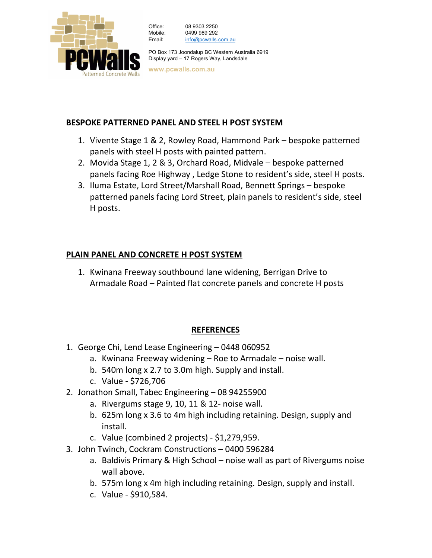

| Office:             | 08 9303 2250        |
|---------------------|---------------------|
| Mobile <sup>.</sup> | 0499 989 292        |
| Email:              | info@pcwalls.com.au |
|                     |                     |

PO Box 173 Joondalup BC Western Australia 6919 Display yard – 17 Rogers Way, Landsdale

www.pcwalls.com.au

## BESPOKE PATTERNED PANEL AND STEEL H POST SYSTEM

- 1. Vivente Stage 1 & 2, Rowley Road, Hammond Park bespoke patterned panels with steel H posts with painted pattern.
- 2. Movida Stage 1, 2 & 3, Orchard Road, Midvale bespoke patterned panels facing Roe Highway , Ledge Stone to resident's side, steel H posts.
- 3. Iluma Estate, Lord Street/Marshall Road, Bennett Springs bespoke patterned panels facing Lord Street, plain panels to resident's side, steel H posts.

## PLAIN PANEL AND CONCRETE H POST SYSTEM

1. Kwinana Freeway southbound lane widening, Berrigan Drive to Armadale Road – Painted flat concrete panels and concrete H posts

## REFERENCES

- 1. George Chi, Lend Lease Engineering 0448 060952
	- a. Kwinana Freeway widening Roe to Armadale noise wall.
	- b. 540m long x 2.7 to 3.0m high. Supply and install.
	- c. Value \$726,706
- 2. Jonathon Small, Tabec Engineering 08 94255900
	- a. Rivergums stage 9, 10, 11 & 12- noise wall.
	- b. 625m long x 3.6 to 4m high including retaining. Design, supply and install.
	- c. Value (combined 2 projects) \$1,279,959.
- 3. John Twinch, Cockram Constructions 0400 596284
	- a. Baldivis Primary & High School noise wall as part of Rivergums noise wall above.
	- b. 575m long x 4m high including retaining. Design, supply and install.
	- c. Value \$910,584.